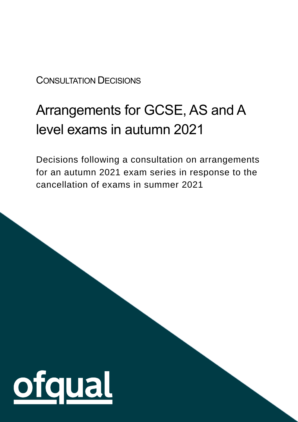#### CONSULTATION DECISIONS

# Arrangements for GCSE, AS and A level exams in autumn 2021

Decisions following a consultation on arrangements for an autumn 2021 exam series in response to the cancellation of exams in summer 2021

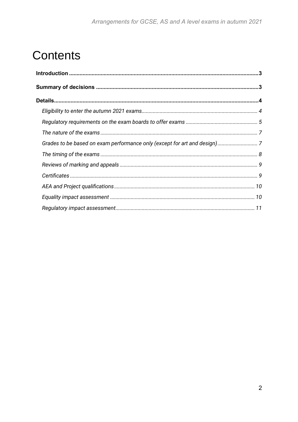## **Contents**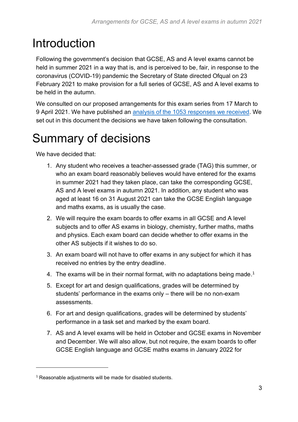## <span id="page-2-0"></span>Introduction

Following the government's decision that GCSE, AS and A level exams cannot be held in summer 2021 in a way that is, and is perceived to be, fair, in response to the coronavirus (COVID-19) pandemic the Secretary of State directed Ofqual on 23 February 2021 to make provision for a full series of GCSE, AS and A level exams to be held in the autumn.

We consulted on our proposed arrangements for this exam series from 17 March to 9 April 2021. We have published an [analysis of the 1053 responses we received.](https://www.gov.uk/government/consultations/consultation-on-arrangements-for-an-autumn-2021-exam-series) We set out in this document the decisions we have taken following the consultation.

## <span id="page-2-1"></span>Summary of decisions

We have decided that:

- 1. Any student who receives a teacher-assessed grade (TAG) this summer, or who an exam board reasonably believes would have entered for the exams in summer 2021 had they taken place, can take the corresponding GCSE, AS and A level exams in autumn 2021. In addition, any student who was aged at least 16 on 31 August 2021 can take the GCSE English language and maths exams, as is usually the case.
- 2. We will require the exam boards to offer exams in all GCSE and A level subjects and to offer AS exams in biology, chemistry, further maths, maths and physics. Each exam board can decide whether to offer exams in the other AS subjects if it wishes to do so.
- 3. An exam board will not have to offer exams in any subject for which it has received no entries by the entry deadline.
- 4. The exams will be in their normal format, with no adaptations being made.<sup>1</sup>
- 5. Except for art and design qualifications, grades will be determined by students' performance in the exams only – there will be no non-exam assessments.
- 6. For art and design qualifications, grades will be determined by students' performance in a task set and marked by the exam board.
- 7. AS and A level exams will be held in October and GCSE exams in November and December. We will also allow, but not require, the exam boards to offer GCSE English language and GCSE maths exams in January 2022 for

<sup>&</sup>lt;sup>1</sup> Reasonable adjustments will be made for disabled students.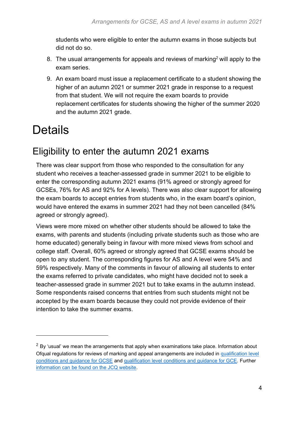students who were eligible to enter the autumn exams in those subjects but did not do so.

- 8. The usual arrangements for appeals and reviews of marking<sup>2</sup> will apply to the exam series.
- 9. An exam board must issue a replacement certificate to a student showing the higher of an autumn 2021 or summer 2021 grade in response to a request from that student. We will not require the exam boards to provide replacement certificates for students showing the higher of the summer 2020 and the autumn 2021 grade.

## <span id="page-3-0"></span>Details

#### <span id="page-3-1"></span>Eligibility to enter the autumn 2021 exams

There was clear support from those who responded to the consultation for any student who receives a teacher-assessed grade in summer 2021 to be eligible to enter the corresponding autumn 2021 exams (91% agreed or strongly agreed for GCSEs, 76% for AS and 92% for A levels). There was also clear support for allowing the exam boards to accept entries from students who, in the exam board's opinion, would have entered the exams in summer 2021 had they not been cancelled (84% agreed or strongly agreed).

Views were more mixed on whether other students should be allowed to take the exams, with parents and students (including private students such as those who are home educated) generally being in favour with more mixed views from school and college staff. Overall, 60% agreed or strongly agreed that GCSE exams should be open to any student. The corresponding figures for AS and A level were 54% and 59% respectively. Many of the comments in favour of allowing all students to enter the exams referred to private candidates, who might have decided not to seek a teacher-assessed grade in summer 2021 but to take exams in the autumn instead. Some respondents raised concerns that entries from such students might not be accepted by the exam boards because they could not provide evidence of their intention to take the summer exams.

 $2$  By 'usual' we mean the arrangements that apply when examinations take place. Information about Ofqual regulations for reviews of marking and appeal arrangements are included in [qualification level](https://www.gov.uk/government/publications/gcse-9-to-1-qualification-level-conditions)  [conditions and guidance for GCSE](https://www.gov.uk/government/publications/gcse-9-to-1-qualification-level-conditions) and [qualification level conditions and guidance for GCE.](https://www.gov.uk/government/publications/gce-qualification-level-conditions-and-requirements) Further [information can be found on the JCQ website.](https://www.jcq.org.uk/exams-office/appeals/)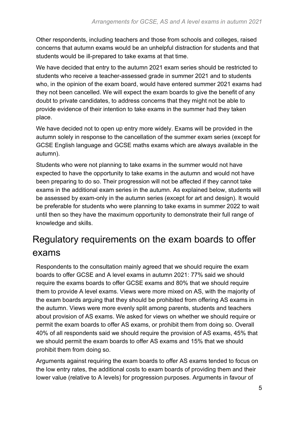Other respondents, including teachers and those from schools and colleges, raised concerns that autumn exams would be an unhelpful distraction for students and that students would be ill-prepared to take exams at that time.

We have decided that entry to the autumn 2021 exam series should be restricted to students who receive a teacher-assessed grade in summer 2021 and to students who, in the opinion of the exam board, would have entered summer 2021 exams had they not been cancelled. We will expect the exam boards to give the benefit of any doubt to private candidates, to address concerns that they might not be able to provide evidence of their intention to take exams in the summer had they taken place.

We have decided not to open up entry more widely. Exams will be provided in the autumn solely in response to the cancellation of the summer exam series (except for GCSE English language and GCSE maths exams which are always available in the autumn).

Students who were not planning to take exams in the summer would not have expected to have the opportunity to take exams in the autumn and would not have been preparing to do so. Their progression will not be affected if they cannot take exams in the additional exam series in the autumn. As explained below, students will be assessed by exam-only in the autumn series (except for art and design). It would be preferable for students who were planning to take exams in summer 2022 to wait until then so they have the maximum opportunity to demonstrate their full range of knowledge and skills.

## <span id="page-4-0"></span>Regulatory requirements on the exam boards to offer exams

Respondents to the consultation mainly agreed that we should require the exam boards to offer GCSE and A level exams in autumn 2021: 77% said we should require the exams boards to offer GCSE exams and 80% that we should require them to provide A level exams. Views were more mixed on AS, with the majority of the exam boards arguing that they should be prohibited from offering AS exams in the autumn. Views were more evenly split among parents, students and teachers about provision of AS exams. We asked for views on whether we should require or permit the exam boards to offer AS exams, or prohibit them from doing so. Overall 40% of all respondents said we should require the provision of AS exams, 45% that we should permit the exam boards to offer AS exams and 15% that we should prohibit them from doing so.

Arguments against requiring the exam boards to offer AS exams tended to focus on the low entry rates, the additional costs to exam boards of providing them and their lower value (relative to A levels) for progression purposes. Arguments in favour of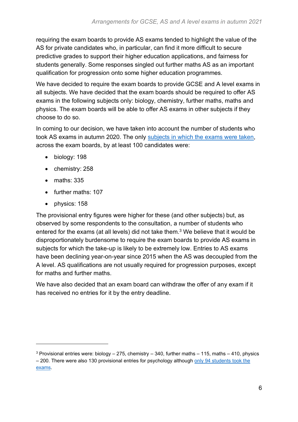requiring the exam boards to provide AS exams tended to highlight the value of the AS for private candidates who, in particular, can find it more difficult to secure predictive grades to support their higher education applications, and fairness for students generally. Some responses singled out further maths AS as an important qualification for progression onto some higher education programmes.

We have decided to require the exam boards to provide GCSE and A level exams in all subjects. We have decided that the exam boards should be required to offer AS exams in the following subjects only: biology, chemistry, further maths, maths and physics. The exam boards will be able to offer AS exams in other subjects if they choose to do so.

In coming to our decision, we have taken into account the number of students who took AS exams in autumn 2020. The only [subjects in which the](https://www.jcq.org.uk/examination-results/) exams were taken, across the exam boards, by at least 100 candidates were:

- biology: 198
- chemistry: 258
- maths: 335
- further maths: 107
- physics: 158

The provisional entry figures were higher for these (and other subjects) but, as observed by some respondents to the consultation, a number of students who entered for the exams (at all levels) did not take them. <sup>3</sup> We believe that it would be disproportionately burdensome to require the exam boards to provide AS exams in subjects for which the take-up is likely to be extremely low. Entries to AS exams have been declining year-on-year since 2015 when the AS was decoupled from the A level. AS qualifications are not usually required for progression purposes, except for maths and further maths.

We have also decided that an exam board can withdraw the offer of any exam if it has received no entries for it by the entry deadline.

 $3$  Provisional entries were: biology – 275, chemistry – 340, further maths – 115, maths – 410, physics – 200. There were also 130 provisional entries for psychology although only 94 students took the [exams.](https://www.gov.uk/government/statistics/entries-for-as-and-a-level-autumn-2020-exam-series)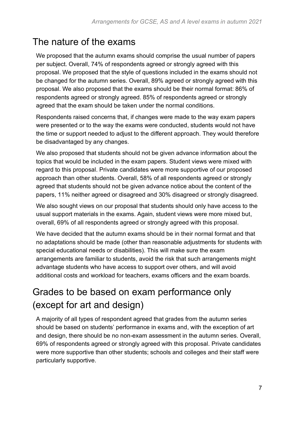#### <span id="page-6-0"></span>The nature of the exams

We proposed that the autumn exams should comprise the usual number of papers per subject. Overall, 74% of respondents agreed or strongly agreed with this proposal. We proposed that the style of questions included in the exams should not be changed for the autumn series. Overall, 89% agreed or strongly agreed with this proposal. We also proposed that the exams should be their normal format: 86% of respondents agreed or strongly agreed. 85% of respondents agreed or strongly agreed that the exam should be taken under the normal conditions.

Respondents raised concerns that, if changes were made to the way exam papers were presented or to the way the exams were conducted, students would not have the time or support needed to adjust to the different approach. They would therefore be disadvantaged by any changes.

We also proposed that students should not be given advance information about the topics that would be included in the exam papers. Student views were mixed with regard to this proposal. Private candidates were more supportive of our proposed approach than other students. Overall, 58% of all respondents agreed or strongly agreed that students should not be given advance notice about the content of the papers, 11% neither agreed or disagreed and 30% disagreed or strongly disagreed.

We also sought views on our proposal that students should only have access to the usual support materials in the exams. Again, student views were more mixed but, overall, 69% of all respondents agreed or strongly agreed with this proposal.

We have decided that the autumn exams should be in their normal format and that no adaptations should be made (other than reasonable adjustments for students with special educational needs or disabilities). This will make sure the exam arrangements are familiar to students, avoid the risk that such arrangements might advantage students who have access to support over others, and will avoid additional costs and workload for teachers, exams officers and the exam boards.

## <span id="page-6-1"></span>Grades to be based on exam performance only (except for art and design)

A majority of all types of respondent agreed that grades from the autumn series should be based on students' performance in exams and, with the exception of art and design, there should be no non-exam assessment in the autumn series. Overall, 69% of respondents agreed or strongly agreed with this proposal. Private candidates were more supportive than other students; schools and colleges and their staff were particularly supportive.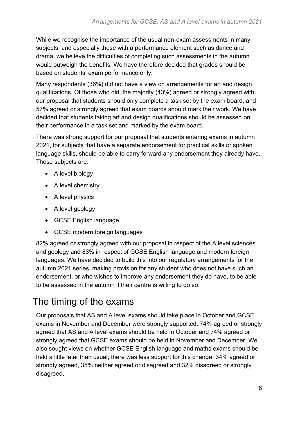While we recognise the importance of the usual non-exam assessments in many subjects, and especially those with a performance element such as dance and drama, we believe the difficulties of completing such assessments in the autumn would outweigh the benefits. We have therefore decided that grades should be based on students' exam performance only.

Many respondents (36%) did not have a view on arrangements for art and design qualifications. Of those who did, the majority (43%) agreed or strongly agreed with our proposal that students should only complete a task set by the exam board, and 57% agreed or strongly agreed that exam boards should mark their work. We have decided that students taking art and design qualifications should be assessed on their performance in a task set and marked by the exam board.

There was strong support for our proposal that students entering exams in autumn 2021, for subjects that have a separate endorsement for practical skills or spoken language skills, should be able to carry forward any endorsement they already have. Those subjects are:

- A level biology
- A level chemistry
- A level physics
- A level geology
- GCSE English language
- GCSE modern foreign languages

82% agreed or strongly agreed with our proposal in respect of the A level sciences and geology and 83% in respect of GCSE English language and modern foreign languages. We have decided to build this into our regulatory arrangements for the autumn 2021 series, making provision for any student who does not have such an endorsement, or who wishes to improve any endorsement they do have, to be able to be assessed in the autumn if their centre is willing to do so.

#### <span id="page-7-0"></span>The timing of the exams

Our proposals that AS and A level exams should take place in October and GCSE exams in November and December were strongly supported: 74% agreed or strongly agreed that AS and A level exams should be held in October and 74% agreed or strongly agreed that GCSE exams should be held in November and December. We also sought views on whether GCSE English language and maths exams should be held a little later than usual; there was less support for this change: 34% agreed or strongly agreed, 35% neither agreed or disagreed and 32% disagreed or strongly disagreed.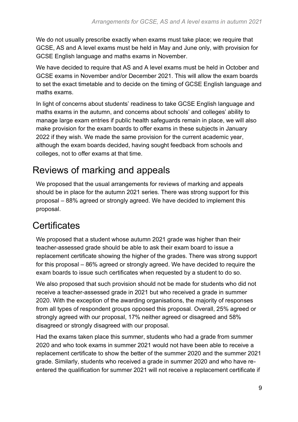We do not usually prescribe exactly when exams must take place; we require that GCSE, AS and A level exams must be held in May and June only, with provision for GCSE English language and maths exams in November.

We have decided to require that AS and A level exams must be held in October and GCSE exams in November and/or December 2021. This will allow the exam boards to set the exact timetable and to decide on the timing of GCSE English language and maths exams.

In light of concerns about students' readiness to take GCSE English language and maths exams in the autumn, and concerns about schools' and colleges' ability to manage large exam entries if public health safeguards remain in place, we will also make provision for the exam boards to offer exams in these subjects in January 2022 if they wish. We made the same provision for the current academic year, although the exam boards decided, having sought feedback from schools and colleges, not to offer exams at that time.

#### <span id="page-8-0"></span>Reviews of marking and appeals

We proposed that the usual arrangements for reviews of marking and appeals should be in place for the autumn 2021 series. There was strong support for this proposal – 88% agreed or strongly agreed. We have decided to implement this proposal.

#### <span id="page-8-1"></span>**Certificates**

We proposed that a student whose autumn 2021 grade was higher than their teacher-assessed grade should be able to ask their exam board to issue a replacement certificate showing the higher of the grades. There was strong support for this proposal – 86% agreed or strongly agreed. We have decided to require the exam boards to issue such certificates when requested by a student to do so.

We also proposed that such provision should not be made for students who did not receive a teacher-assessed grade in 2021 but who received a grade in summer 2020. With the exception of the awarding organisations, the majority of responses from all types of respondent groups opposed this proposal. Overall, 25% agreed or strongly agreed with our proposal, 17% neither agreed or disagreed and 58% disagreed or strongly disagreed with our proposal.

Had the exams taken place this summer, students who had a grade from summer 2020 and who took exams in summer 2021 would not have been able to receive a replacement certificate to show the better of the summer 2020 and the summer 2021 grade. Similarly, students who received a grade in summer 2020 and who have reentered the qualification for summer 2021 will not receive a replacement certificate if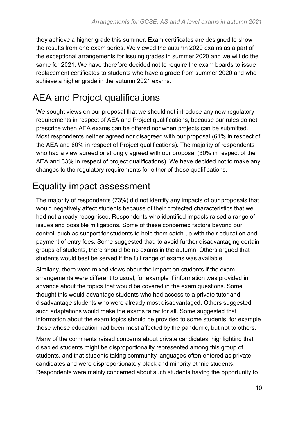they achieve a higher grade this summer. Exam certificates are designed to show the results from one exam series. We viewed the autumn 2020 exams as a part of the exceptional arrangements for issuing grades in summer 2020 and we will do the same for 2021. We have therefore decided not to require the exam boards to issue replacement certificates to students who have a grade from summer 2020 and who achieve a higher grade in the autumn 2021 exams.

## <span id="page-9-0"></span>AEA and Project qualifications

We sought views on our proposal that we should not introduce any new regulatory requirements in respect of AEA and Project qualifications, because our rules do not prescribe when AEA exams can be offered nor when projects can be submitted. Most respondents neither agreed nor disagreed with our proposal (61% in respect of the AEA and 60% in respect of Project qualifications). The majority of respondents who had a view agreed or strongly agreed with our proposal (30% in respect of the AEA and 33% in respect of project qualifications). We have decided not to make any changes to the regulatory requirements for either of these qualifications.

#### <span id="page-9-1"></span>Equality impact assessment

The majority of respondents (73%) did not identify any impacts of our proposals that would negatively affect students because of their protected characteristics that we had not already recognised. Respondents who identified impacts raised a range of issues and possible mitigations. Some of these concerned factors beyond our control, such as support for students to help them catch up with their education and payment of entry fees. Some suggested that, to avoid further disadvantaging certain groups of students, there should be no exams in the autumn. Others argued that students would best be served if the full range of exams was available.

Similarly, there were mixed views about the impact on students if the exam arrangements were different to usual, for example if information was provided in advance about the topics that would be covered in the exam questions. Some thought this would advantage students who had access to a private tutor and disadvantage students who were already most disadvantaged. Others suggested such adaptations would make the exams fairer for all. Some suggested that information about the exam topics should be provided to some students, for example those whose education had been most affected by the pandemic, but not to others.

Many of the comments raised concerns about private candidates, highlighting that disabled students might be disproportionality represented among this group of students, and that students taking community languages often entered as private candidates and were disproportionately black and minority ethnic students. Respondents were mainly concerned about such students having the opportunity to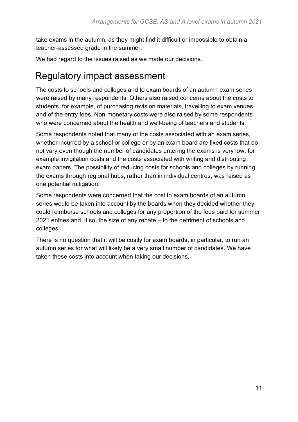take exams in the autumn, as they might find it difficult or impossible to obtain a teacher-assessed grade in the summer.

We had regard to the issues raised as we made our decisions.

#### <span id="page-10-0"></span>Regulatory impact assessment

The costs to schools and colleges and to exam boards of an autumn exam series were raised by many respondents. Others also raised concerns about the costs to students, for example, of purchasing revision materials, travelling to exam venues and of the entry fees. Non-monetary costs were also raised by some respondents who were concerned about the health and well-being of teachers and students.

Some respondents noted that many of the costs associated with an exam series, whether incurred by a school or college or by an exam board are fixed costs that do not vary even though the number of candidates entering the exams is very low, for example invigilation costs and the costs associated with writing and distributing exam papers. The possibility of reducing costs for schools and colleges by running the exams through regional hubs, rather than in individual centres, was raised as one potential mitigation.

Some respondents were concerned that the cost to exam boards of an autumn series would be taken into account by the boards when they decided whether they could reimburse schools and colleges for any proportion of the fees paid for summer 2021 entries and, if so, the size of any rebate – to the detriment of schools and colleges.

There is no question that it will be costly for exam boards, in particular, to run an autumn series for what will likely be a very small number of candidates. We have taken these costs into account when taking our decisions.